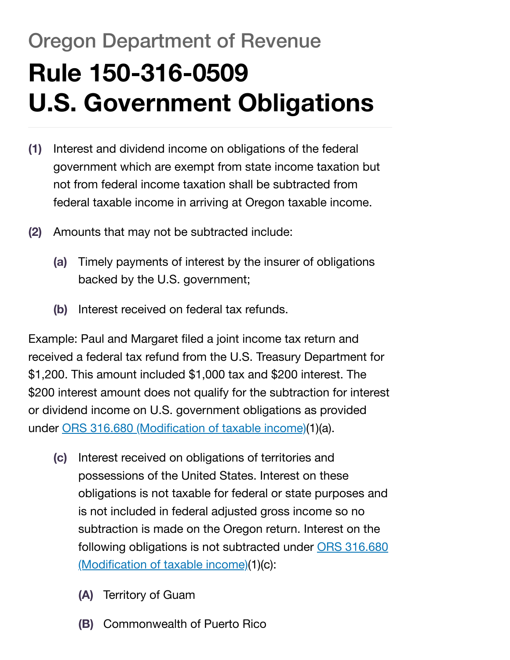## Oregon Department of Revenue **Rule 150-316-0509 U.S. Government Obligations**

- **(1)** Interest and dividend income on obligations of the federal government which are exempt from state income taxation but not from federal income taxation shall be subtracted from federal taxable income in arriving at Oregon taxable income.
- **(2)** Amounts that may not be subtracted include:
	- **(a)** Timely payments of interest by the insurer of obligations backed by the U.S. government;
	- **(b)** Interest received on federal tax refunds.

Example: Paul and Margaret filed a joint income tax return and received a federal tax refund from the U.S. Treasury Department for \$1,200. This amount included \$1,000 tax and \$200 interest. The \$200 interest amount does not qualify for the subtraction for interest or dividend income on U.S. government obligations as provided under ORS 316.680 [\(Modification](https://oregon.public.law/statutes/ors_316.680) of taxable income)(1)(a).

- **(c)** Interest received on obligations of territories and possessions of the United States. Interest on these obligations is not taxable for federal or state purposes and is not included in federal adjusted gross income so no subtraction is made on the Oregon return. Interest on the following [obligations is not](https://oregon.public.law/statutes/ors_316.680) subtracted under ORS 316.680 (Modification of taxable income)(1)(c):
	- **(A)** Territory of Guam
	- **(B)** Commonwealth of Puerto Rico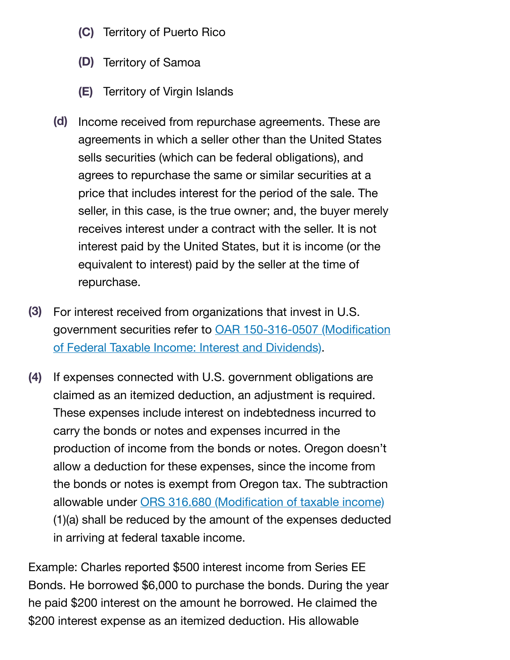- **(C)** Territory of Puerto Rico
- **(D)** Territory of Samoa
- **(E)** Territory of Virgin Islands
- **(d)** Income received from repurchase agreements. These are agreements in which a seller other than the United States sells securities (which can be federal obligations), and agrees to repurchase the same or similar securities at a price that includes interest for the period of the sale. The seller, in this case, is the true owner; and, the buyer merely receives interest under a contract with the seller. It is not interest paid by the United States, but it is income (or the equivalent to interest) paid by the seller at the time of repurchase.
- **(3)** For interest received from organizations that invest in U.S. government securities refer to [OAR 150-316-0507](https://oregon.public.law/rules/oar_150-316-0507) (Modification of Federal Taxable Income: Interest and Dividends).
- **(4)** If expenses connected with U.S. government obligations are claimed as an itemized deduction, an adjustment is required. These expenses include interest on indebtedness incurred to carry the bonds or notes and expenses incurred in the production of income from the bonds or notes. Oregon doesn't allow a deduction for these expenses, since the income from the bonds or notes is exempt from Oregon tax. The subtraction allowable under ORS 316.680 [\(Modification](https://oregon.public.law/statutes/ors_316.680) of taxable income) (1)(a) shall be reduced by the amount of the expenses deducted in arriving at federal taxable income.

Example: Charles reported \$500 interest income from Series EE Bonds. He borrowed \$6,000 to purchase the bonds. During the year he paid \$200 interest on the amount he borrowed. He claimed the \$200 interest expense as an itemized deduction. His allowable